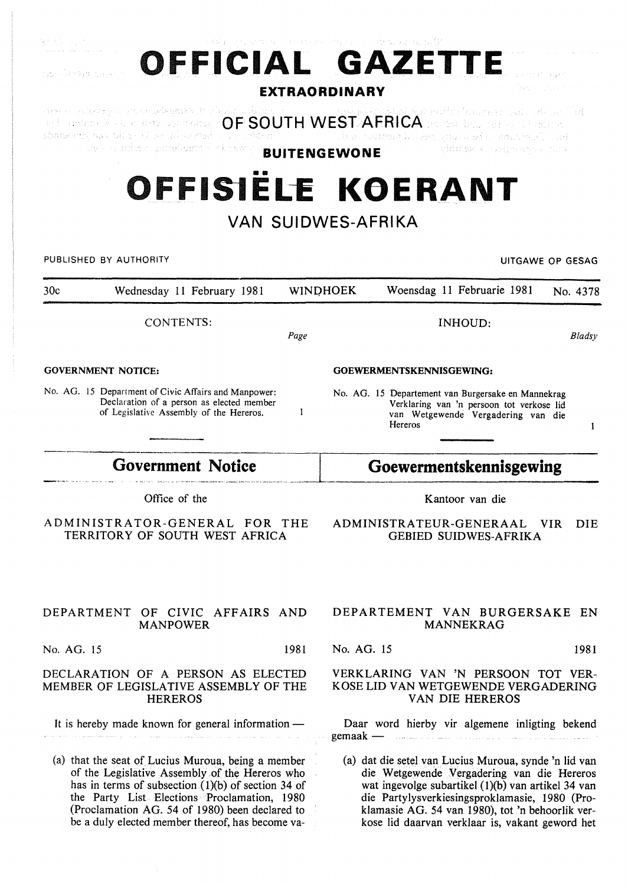| OFFICIAL GAZETTE<br>yan Shrija Brok                                                                                                                                                                                                                           |      | <b>EXTRAORDINARY</b> | アルマングライト バーストアナ アサウム アースとくれん 国家 現実                                                                                                                                                                                                                              |                                                                                 |                  |
|---------------------------------------------------------------------------------------------------------------------------------------------------------------------------------------------------------------------------------------------------------------|------|----------------------|-----------------------------------------------------------------------------------------------------------------------------------------------------------------------------------------------------------------------------------------------------------------|---------------------------------------------------------------------------------|------------------|
| chademy and binesed by the second was expendent<br>ved a suber gambassor) skrewiji.                                                                                                                                                                           |      | <b>BUITENGEWONE</b>  | soulment in least offices adjustment and start                                                                                                                                                                                                                  | viduran < printuro con >                                                        |                  |
| OFFISIELE KOERANT<br>VAN SUIDWES-AFRIKA                                                                                                                                                                                                                       |      |                      |                                                                                                                                                                                                                                                                 |                                                                                 |                  |
| PUBLISHED BY AUTHORITY                                                                                                                                                                                                                                        |      |                      |                                                                                                                                                                                                                                                                 |                                                                                 | UITGAWE OP GESAG |
| 30c<br>Wednesday 11 February 1981                                                                                                                                                                                                                             |      | <b>WINDHOEK</b>      |                                                                                                                                                                                                                                                                 | Woensdag 11 Februarie 1981                                                      | No. 4378         |
| CONTENTS:                                                                                                                                                                                                                                                     | Page |                      |                                                                                                                                                                                                                                                                 | INHOUD:                                                                         | Bladsy           |
| <b>GOVERNMENT NOTICE:</b>                                                                                                                                                                                                                                     |      |                      | GOEWERMENTSKENNISGEWING:                                                                                                                                                                                                                                        |                                                                                 |                  |
| No. AG. 15 Department of Civic Affairs and Manpower:<br>Declaration of a person as elected member<br>of Legislative Assembly of the Hereros.                                                                                                                  | 1    |                      | No. AG. 15 Departement van Burgersake en Mannekrag<br>Hereros                                                                                                                                                                                                   | Verklaring van 'n persoon tot verkose lid<br>van Wetgewende Vergadering van die | 1                |
| <b>Government Notice</b>                                                                                                                                                                                                                                      |      |                      | Goewermentskennisgewing                                                                                                                                                                                                                                         |                                                                                 |                  |
| Office of the                                                                                                                                                                                                                                                 |      |                      |                                                                                                                                                                                                                                                                 | Kantoor van die                                                                 |                  |
| ADMINISTRATOR-GENERAL FOR THE<br>TERRITORY OF SOUTH WEST AFRICA                                                                                                                                                                                               |      |                      | ADMINISTRATEUR-GENERAAL                                                                                                                                                                                                                                         | <b>GEBIED SUIDWES-AFRIKA</b>                                                    | VIR.<br>DIE      |
|                                                                                                                                                                                                                                                               |      |                      |                                                                                                                                                                                                                                                                 |                                                                                 |                  |
| DEPARTMENT OF CIVIC AFFAIRS AND<br><b>MANPOWER</b>                                                                                                                                                                                                            |      |                      | DEPARTEMENT VAN BURGERSAKE EN                                                                                                                                                                                                                                   | MANNEKRAG                                                                       |                  |
| No. AG. 15                                                                                                                                                                                                                                                    | 1981 | No. AG. 15           |                                                                                                                                                                                                                                                                 |                                                                                 | 1981             |
| DECLARATION OF A PERSON AS ELECTED<br>MEMBER OF LEGISLATIVE ASSEMBLY OF THE<br><b>HEREROS</b>                                                                                                                                                                 |      |                      | VERKLARING VAN 'N PERSOON TOT VER-<br>KOSE LID VAN WETGEWENDE VERGADERING                                                                                                                                                                                       | VAN DIE HEREROS                                                                 |                  |
| It is hereby made known for general information -                                                                                                                                                                                                             |      | $\gamma$ gemaak —    | Daar word hierby vir algemene inligting bekend                                                                                                                                                                                                                  |                                                                                 |                  |
| (a) that the seat of Lucius Muroua, being a member<br>of the Legislative Assembly of the Hereros who<br>has in terms of subsection $(1)(b)$ of section 34 of<br>the Party List Elections Proclamation, 1980<br>(Proclamation AG. 54 of 1980) been declared to |      |                      | (a) dat die setel van Lucius Muroua, synde 'n lid van<br>die Wetgewende Vergadering van die Hereros<br>wat ingevolge subartikel (1)(b) van artikel 34 van<br>die Partylysverkiesingsproklamasie, 1980 (Pro-<br>klamasie AG. 54 van 1980), tot 'n behoorlik ver- |                                                                                 |                  |

kose lid daarvan verklaar is, vakant geword het

be a duly elected member thereof, has become va-

 $\mathbb{Q}^{(1-\frac{1}{2})}$